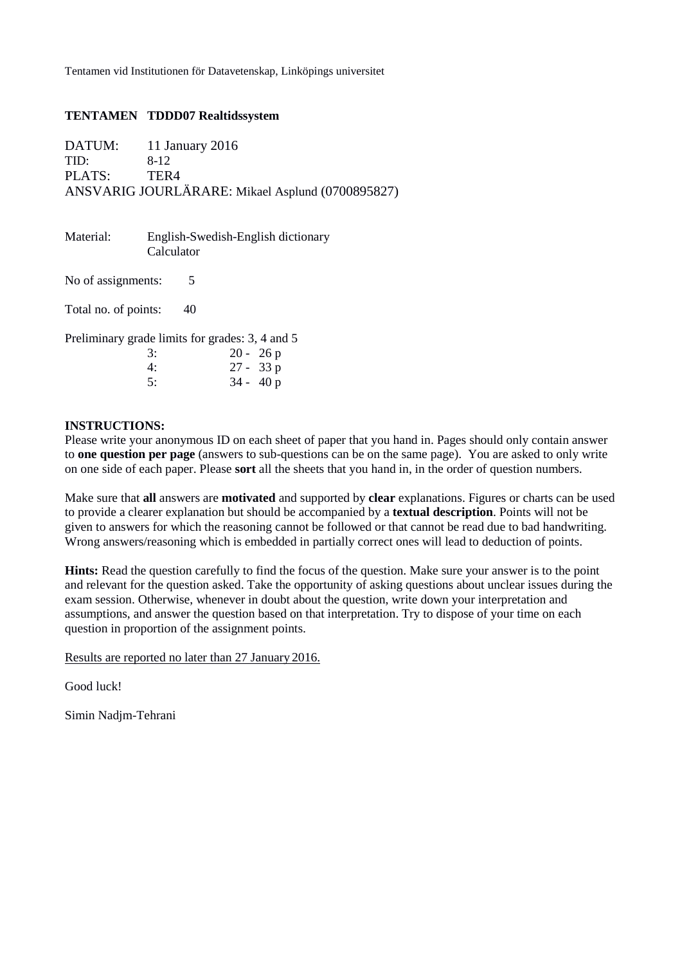### **TENTAMEN TDDD07 Realtidssystem**

DATUM: 11 January 2016 TID: 8-12 PLATS: TER4 ANSVARIG JOURLÄRARE: Mikael Asplund (0700895827)

| Material:                                       | Calculator | English-Swedish-English dictionary |  |  |
|-------------------------------------------------|------------|------------------------------------|--|--|
| No of assignments:                              | 5          |                                    |  |  |
| Total no. of points:                            | 40         |                                    |  |  |
| Preliminary grade limits for grades: 3, 4 and 5 |            |                                    |  |  |
|                                                 | 3:         | $20 - 26p$                         |  |  |
|                                                 | 4:         | $27 - 33 p$                        |  |  |
|                                                 | 5:         | $34 - 40p$                         |  |  |

### **INSTRUCTIONS:**

Please write your anonymous ID on each sheet of paper that you hand in. Pages should only contain answer to **one question per page** (answers to sub-questions can be on the same page). You are asked to only write on one side of each paper. Please **sort** all the sheets that you hand in, in the order of question numbers.

Make sure that **all** answers are **motivated** and supported by **clear** explanations. Figures or charts can be used to provide a clearer explanation but should be accompanied by a **textual description**. Points will not be given to answers for which the reasoning cannot be followed or that cannot be read due to bad handwriting. Wrong answers/reasoning which is embedded in partially correct ones will lead to deduction of points.

**Hints:** Read the question carefully to find the focus of the question. Make sure your answer is to the point and relevant for the question asked. Take the opportunity of asking questions about unclear issues during the exam session. Otherwise, whenever in doubt about the question, write down your interpretation and assumptions, and answer the question based on that interpretation. Try to dispose of your time on each question in proportion of the assignment points.

Results are reported no later than 27 January 2016.

Good luck!

Simin Nadjm-Tehrani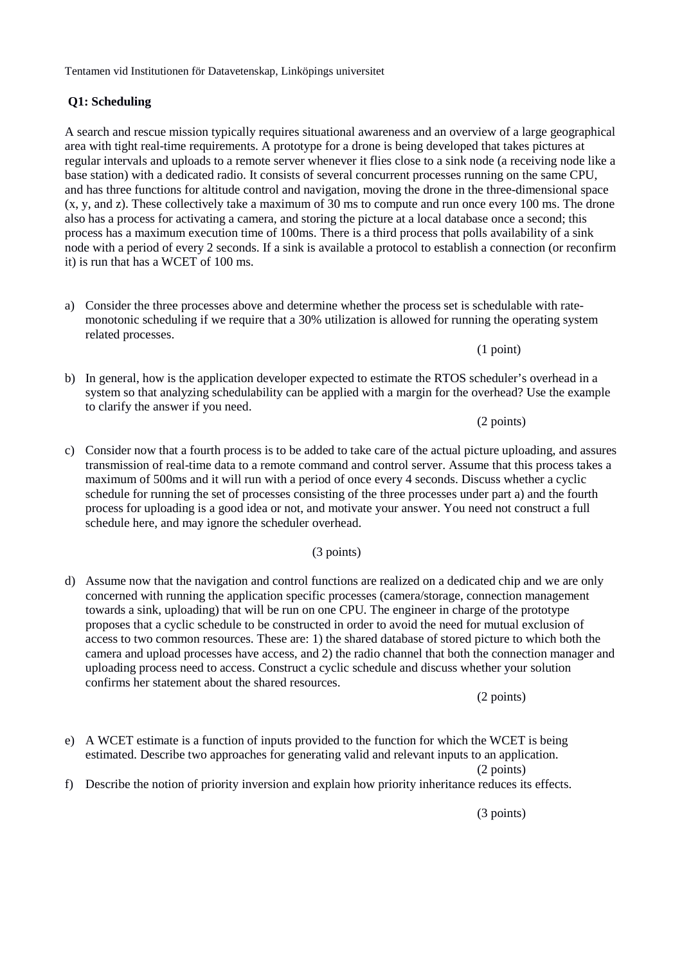### **Q1: Scheduling**

A search and rescue mission typically requires situational awareness and an overview of a large geographical area with tight real-time requirements. A prototype for a drone is being developed that takes pictures at regular intervals and uploads to a remote server whenever it flies close to a sink node (a receiving node like a base station) with a dedicated radio. It consists of several concurrent processes running on the same CPU, and has three functions for altitude control and navigation, moving the drone in the three-dimensional space (x, y, and z). These collectively take a maximum of 30 ms to compute and run once every 100 ms. The drone also has a process for activating a camera, and storing the picture at a local database once a second; this process has a maximum execution time of 100ms. There is a third process that polls availability of a sink node with a period of every 2 seconds. If a sink is available a protocol to establish a connection (or reconfirm it) is run that has a WCET of 100 ms.

a) Consider the three processes above and determine whether the process set is schedulable with ratemonotonic scheduling if we require that a 30% utilization is allowed for running the operating system related processes.

(1 point)

b) In general, how is the application developer expected to estimate the RTOS scheduler's overhead in a system so that analyzing schedulability can be applied with a margin for the overhead? Use the example to clarify the answer if you need.

(2 points)

c) Consider now that a fourth process is to be added to take care of the actual picture uploading, and assures transmission of real-time data to a remote command and control server. Assume that this process takes a maximum of 500ms and it will run with a period of once every 4 seconds. Discuss whether a cyclic schedule for running the set of processes consisting of the three processes under part a) and the fourth process for uploading is a good idea or not, and motivate your answer. You need not construct a full schedule here, and may ignore the scheduler overhead.

(3 points)

d) Assume now that the navigation and control functions are realized on a dedicated chip and we are only concerned with running the application specific processes (camera/storage, connection management towards a sink, uploading) that will be run on one CPU. The engineer in charge of the prototype proposes that a cyclic schedule to be constructed in order to avoid the need for mutual exclusion of access to two common resources. These are: 1) the shared database of stored picture to which both the camera and upload processes have access, and 2) the radio channel that both the connection manager and uploading process need to access. Construct a cyclic schedule and discuss whether your solution confirms her statement about the shared resources.

(2 points)

e) A WCET estimate is a function of inputs provided to the function for which the WCET is being estimated. Describe two approaches for generating valid and relevant inputs to an application.

(2 points)

f) Describe the notion of priority inversion and explain how priority inheritance reduces its effects.

(3 points)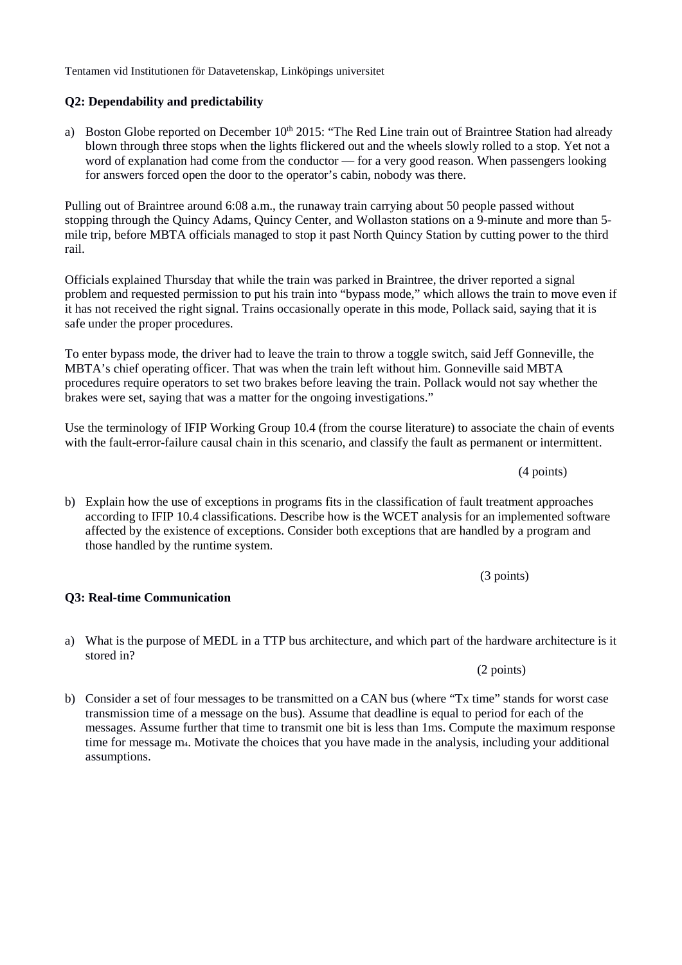# **Q2: Dependability and predictability**

a) Boston Globe reported on December 10<sup>th</sup> 2015: "The Red Line train out of Braintree Station had already blown through three stops when the lights flickered out and the wheels slowly rolled to a stop. Yet not a word of explanation had come from the conductor — for a very good reason. When passengers looking for answers forced open the door to the operator's cabin, nobody was there.

Pulling out of Braintree around 6:08 a.m., the runaway train carrying about 50 people passed without stopping through the Quincy Adams, Quincy Center, and Wollaston stations on a 9-minute and more than 5 mile trip, before MBTA officials managed to stop it past North Quincy Station by cutting power to the third rail.

Officials explained Thursday that while the train was parked in Braintree, the driver reported a signal problem and requested permission to put his train into "bypass mode," which allows the train to move even if it has not received the right signal. Trains occasionally operate in this mode, Pollack said, saying that it is safe under the proper procedures.

To enter bypass mode, the driver had to leave the train to throw a toggle switch, said Jeff Gonneville, the MBTA's chief operating officer. That was when the train left without him. Gonneville said MBTA procedures require operators to set two brakes before leaving the train. Pollack would not say whether the brakes were set, saying that was a matter for the ongoing investigations."

Use the terminology of IFIP Working Group 10.4 (from the course literature) to associate the chain of events with the fault-error-failure causal chain in this scenario, and classify the fault as permanent or intermittent.

b) Explain how the use of exceptions in programs fits in the classification of fault treatment approaches according to IFIP 10.4 classifications. Describe how is the WCET analysis for an implemented software affected by the existence of exceptions. Consider both exceptions that are handled by a program and those handled by the runtime system.

(3 points)

### **Q3: Real-time Communication**

a) What is the purpose of MEDL in a TTP bus architecture, and which part of the hardware architecture is it stored in?

b) Consider a set of four messages to be transmitted on a CAN bus (where "Tx time" stands for worst case transmission time of a message on the bus). Assume that deadline is equal to period for each of the messages. Assume further that time to transmit one bit is less than 1ms. Compute the maximum response time for message m4. Motivate the choices that you have made in the analysis, including your additional assumptions.

(4 points)

(2 points)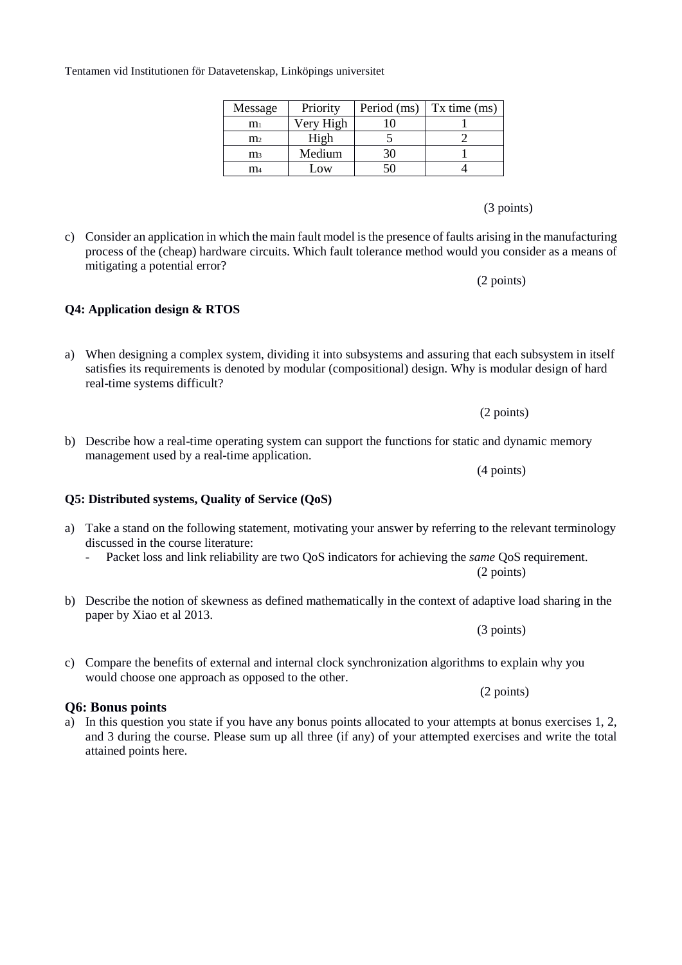# (3 points)

c) Consider an application in which the main fault model is the presence of faults arising in the manufacturing process of the (cheap) hardware circuits. Which fault tolerance method would you consider as a means of mitigating a potential error?

(2 points)

b) Describe how a real-time operating system can support the functions for static and dynamic memory

(2 points)

- a) Take a stand on the following statement, motivating your answer by referring to the relevant terminology discussed in the course literature:
	- Packet loss and link reliability are two QoS indicators for achieving the *same* QoS requirement.
- b) Describe the notion of skewness as defined mathematically in the context of adaptive load sharing in the paper by Xiao et al 2013.

c) Compare the benefits of external and internal clock synchronization algorithms to explain why you would choose one approach as opposed to the other.

### **Q6: Bonus points**

a) In this question you state if you have any bonus points allocated to your attempts at bonus exercises 1, 2, and 3 during the course. Please sum up all three (if any) of your attempted exercises and write the total attained points here.

#### Tentamen vid Institutionen för Datavetenskap, Linköpings universitet

| Message        | Priority  |    | Period (ms) $\vert$ Tx time (ms) |
|----------------|-----------|----|----------------------------------|
| m <sub>1</sub> | Very High |    |                                  |
| m <sub>2</sub> | High      |    |                                  |
| $\mathbf{m}_3$ | Medium    | 30 |                                  |
| m <sub>4</sub> | Low       | 50 |                                  |

# **Q4: Application design & RTOS**

management used by a real-time application.

**Q5: Distributed systems, Quality of Service (QoS)**

# a) When designing a complex system, dividing it into subsystems and assuring that each subsystem in itself satisfies its requirements is denoted by modular (compositional) design. Why is modular design of hard real-time systems difficult?

(4 points)

(3 points)

(2 points)

(2 points)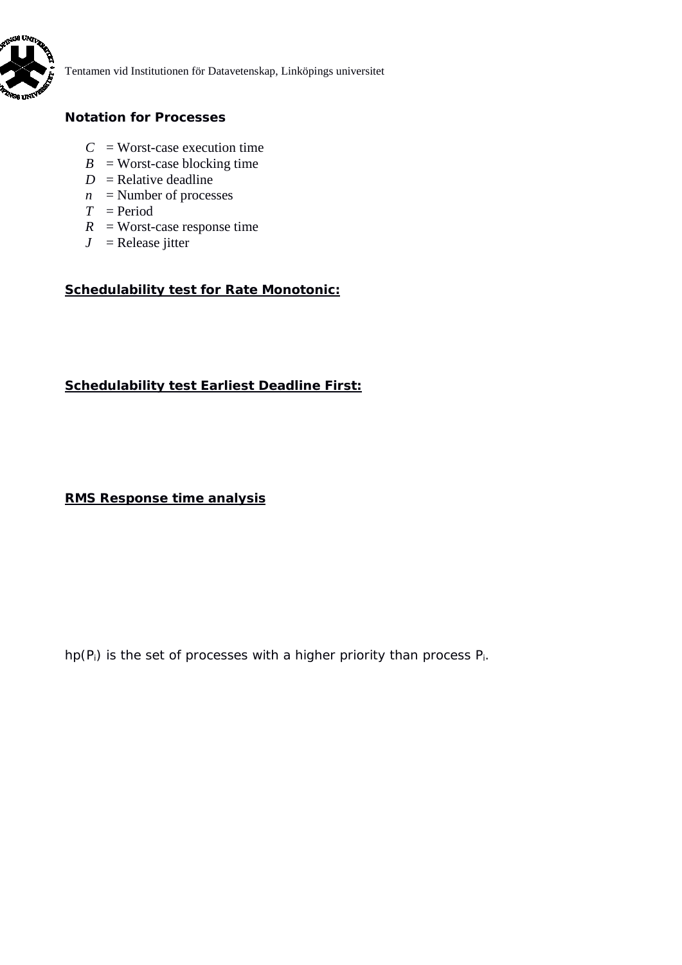

# **Notation for Processes**

- $C =$ Worst-case execution time
- $B =$  Worst-case blocking time
- $D =$ Relative deadline
- $n =$  Number of processes
- $T = Period$
- $R$  = Worst-case response time
- $J =$  Release jitter

# **Schedulability test for Rate Monotonic:**

### **Schedulability test Earliest Deadline First:**

# **RMS Response time analysis**

*hp*(*Pi*) is the set of processes with a higher priority than process *Pi*.